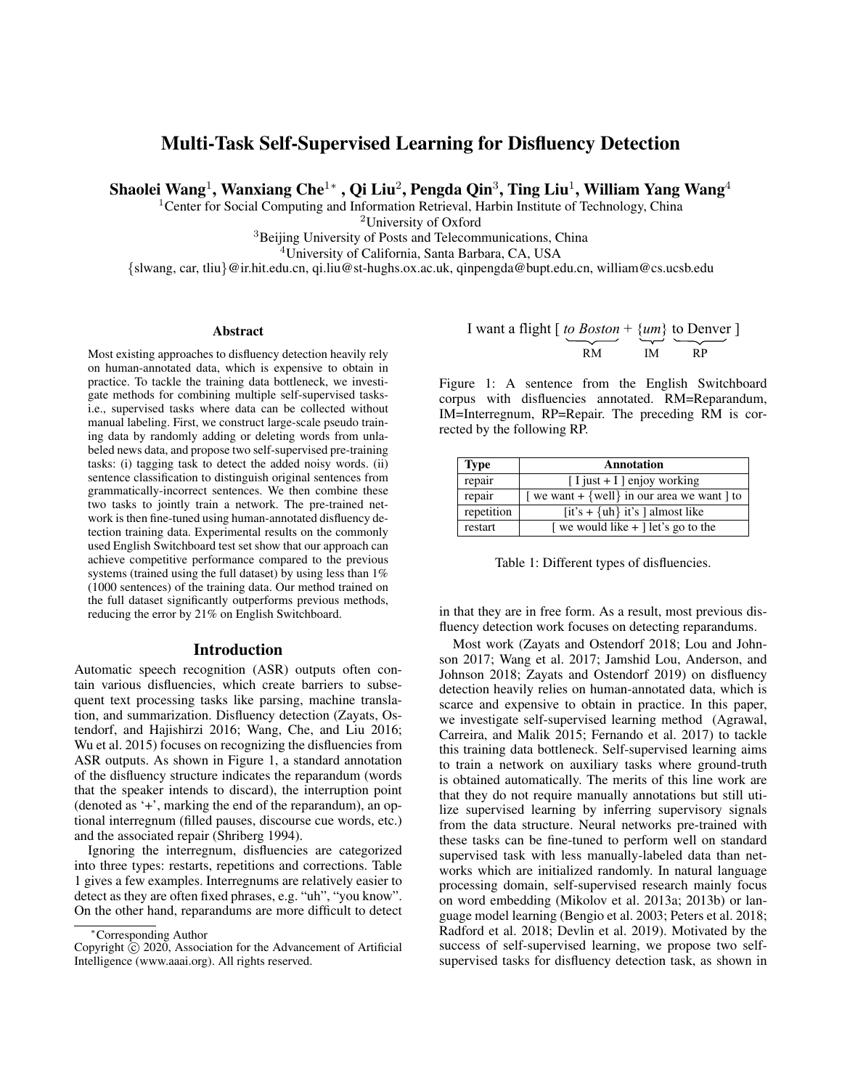# Multi-Task Self-Supervised Learning for Disfluency Detection

Shaolei Wang $^{\rm l}$ , Wanxiang Che $^{\rm l}*$  , Qi Liu $^{\rm 2}$ , Pengda Qin $^{\rm 3}$ , Ting Liu $^{\rm l}$ , William Yang Wang $^{\rm 4}$ 

<sup>1</sup> Center for Social Computing and Information Retrieval, Harbin Institute of Technology, China

<sup>2</sup>University of Oxford

<sup>3</sup>Beijing University of Posts and Telecommunications, China

<sup>4</sup>University of California, Santa Barbara, CA, USA

{slwang, car, tliu}@ir.hit.edu.cn, qi.liu@st-hughs.ox.ac.uk, qinpengda@bupt.edu.cn, william@cs.ucsb.edu

#### **Abstract**

Most existing approaches to disfluency detection heavily rely on human-annotated data, which is expensive to obtain in practice. To tackle the training data bottleneck, we investigate methods for combining multiple self-supervised tasksi.e., supervised tasks where data can be collected without manual labeling. First, we construct large-scale pseudo training data by randomly adding or deleting words from unlabeled news data, and propose two self-supervised pre-training tasks: (i) tagging task to detect the added noisy words. (ii) sentence classification to distinguish original sentences from grammatically-incorrect sentences. We then combine these two tasks to jointly train a network. The pre-trained network is then fine-tuned using human-annotated disfluency detection training data. Experimental results on the commonly used English Switchboard test set show that our approach can achieve competitive performance compared to the previous systems (trained using the full dataset) by using less than 1% (1000 sentences) of the training data. Our method trained on the full dataset significantly outperforms previous methods, reducing the error by 21% on English Switchboard.

### Introduction

Automatic speech recognition (ASR) outputs often contain various disfluencies, which create barriers to subsequent text processing tasks like parsing, machine translation, and summarization. Disfluency detection (Zayats, Ostendorf, and Hajishirzi 2016; Wang, Che, and Liu 2016; Wu et al. 2015) focuses on recognizing the disfluencies from ASR outputs. As shown in Figure 1, a standard annotation of the disfluency structure indicates the reparandum (words that the speaker intends to discard), the interruption point (denoted as '+', marking the end of the reparandum), an optional interregnum (filled pauses, discourse cue words, etc.) and the associated repair (Shriberg 1994).

Ignoring the interregnum, disfluencies are categorized into three types: restarts, repetitions and corrections. Table 1 gives a few examples. Interregnums are relatively easier to detect as they are often fixed phrases, e.g. "uh", "you know". On the other hand, reparandums are more difficult to detect

| I want a flight $\lceil \text{to Boston} + \{ \text{um} \} \rceil$ to Denver $\lceil \text{unb} \rceil$ |    |     |  |
|---------------------------------------------------------------------------------------------------------|----|-----|--|
|                                                                                                         |    |     |  |
| RM                                                                                                      | IМ | R P |  |

Figure 1: A sentence from the English Switchboard corpus with disfluencies annotated. RM=Reparandum, IM=Interregnum, RP=Repair. The preceding RM is corrected by the following RP.

| <b>Type</b> | Annotation                                |
|-------------|-------------------------------------------|
| repair      | $[I$ just + I ] enjoy working             |
| repair      | we want + {well} in our area we want   to |
| repetition  | [it's + {uh} it's ] almost like           |
| restart     | we would like $+$ let's go to the         |

| Table 1: Different types of disfluencies. |  |  |
|-------------------------------------------|--|--|
|-------------------------------------------|--|--|

in that they are in free form. As a result, most previous disfluency detection work focuses on detecting reparandums.

Most work (Zayats and Ostendorf 2018; Lou and Johnson 2017; Wang et al. 2017; Jamshid Lou, Anderson, and Johnson 2018; Zayats and Ostendorf 2019) on disfluency detection heavily relies on human-annotated data, which is scarce and expensive to obtain in practice. In this paper, we investigate self-supervised learning method (Agrawal, Carreira, and Malik 2015; Fernando et al. 2017) to tackle this training data bottleneck. Self-supervised learning aims to train a network on auxiliary tasks where ground-truth is obtained automatically. The merits of this line work are that they do not require manually annotations but still utilize supervised learning by inferring supervisory signals from the data structure. Neural networks pre-trained with these tasks can be fine-tuned to perform well on standard supervised task with less manually-labeled data than networks which are initialized randomly. In natural language processing domain, self-supervised research mainly focus on word embedding (Mikolov et al. 2013a; 2013b) or language model learning (Bengio et al. 2003; Peters et al. 2018; Radford et al. 2018; Devlin et al. 2019). Motivated by the success of self-supervised learning, we propose two selfsupervised tasks for disfluency detection task, as shown in

<sup>∗</sup>Corresponding Author

Copyright  $\hat{C}$  2020, Association for the Advancement of Artificial Intelligence (www.aaai.org). All rights reserved.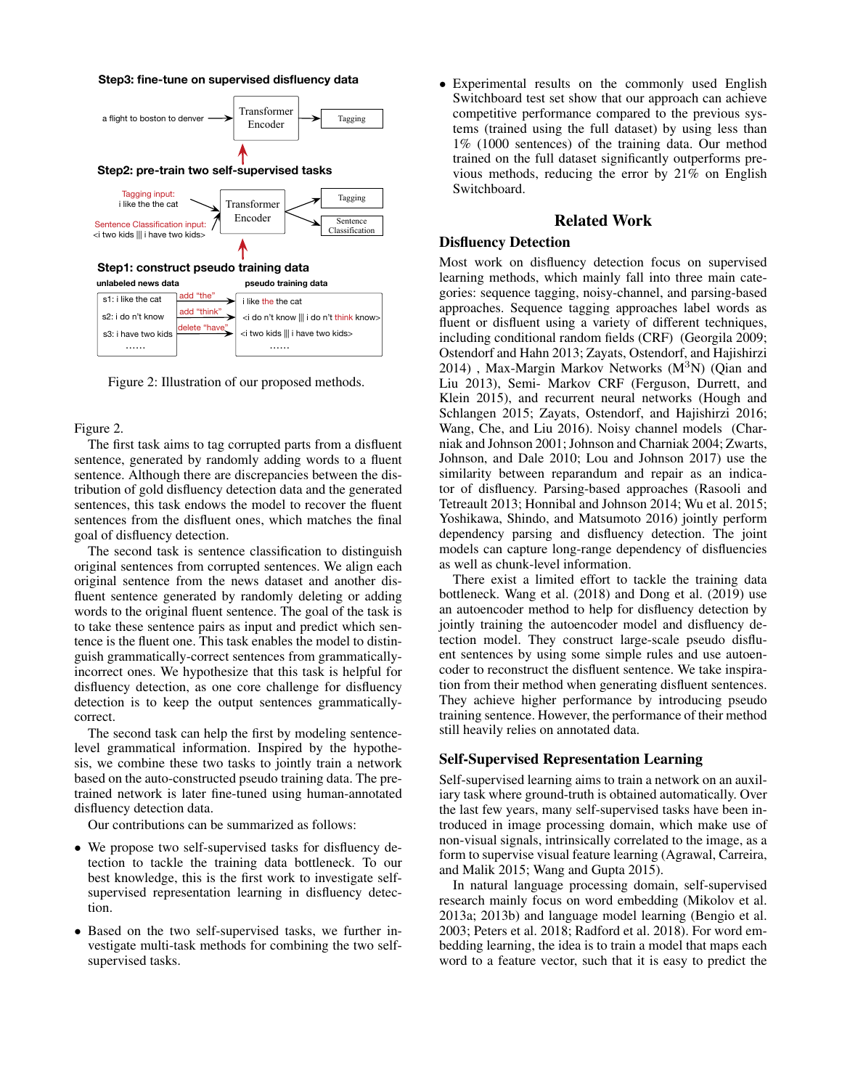#### **Step3: fine-tune on supervised disfluency data**



Figure 2: Illustration of our proposed methods.

#### Figure 2.

The first task aims to tag corrupted parts from a disfluent sentence, generated by randomly adding words to a fluent sentence. Although there are discrepancies between the distribution of gold disfluency detection data and the generated sentences, this task endows the model to recover the fluent sentences from the disfluent ones, which matches the final goal of disfluency detection.

The second task is sentence classification to distinguish original sentences from corrupted sentences. We align each original sentence from the news dataset and another disfluent sentence generated by randomly deleting or adding words to the original fluent sentence. The goal of the task is to take these sentence pairs as input and predict which sentence is the fluent one. This task enables the model to distinguish grammatically-correct sentences from grammaticallyincorrect ones. We hypothesize that this task is helpful for disfluency detection, as one core challenge for disfluency detection is to keep the output sentences grammaticallycorrect.

The second task can help the first by modeling sentencelevel grammatical information. Inspired by the hypothesis, we combine these two tasks to jointly train a network based on the auto-constructed pseudo training data. The pretrained network is later fine-tuned using human-annotated disfluency detection data.

Our contributions can be summarized as follows:

- We propose two self-supervised tasks for disfluency detection to tackle the training data bottleneck. To our best knowledge, this is the first work to investigate selfsupervised representation learning in disfluency detection.
- Based on the two self-supervised tasks, we further investigate multi-task methods for combining the two selfsupervised tasks.

• Experimental results on the commonly used English Switchboard test set show that our approach can achieve competitive performance compared to the previous systems (trained using the full dataset) by using less than 1% (1000 sentences) of the training data. Our method trained on the full dataset significantly outperforms previous methods, reducing the error by 21% on English Switchboard.

# Related Work

# Disfluency Detection

Most work on disfluency detection focus on supervised learning methods, which mainly fall into three main categories: sequence tagging, noisy-channel, and parsing-based approaches. Sequence tagging approaches label words as fluent or disfluent using a variety of different techniques, including conditional random fields (CRF) (Georgila 2009; Ostendorf and Hahn 2013; Zayats, Ostendorf, and Hajishirzi  $2014$ ), Max-Margin Markov Networks (M<sup>3</sup>N) (Qian and Liu 2013), Semi- Markov CRF (Ferguson, Durrett, and Klein 2015), and recurrent neural networks (Hough and Schlangen 2015; Zayats, Ostendorf, and Hajishirzi 2016; Wang, Che, and Liu 2016). Noisy channel models (Charniak and Johnson 2001; Johnson and Charniak 2004; Zwarts, Johnson, and Dale 2010; Lou and Johnson 2017) use the similarity between reparandum and repair as an indicator of disfluency. Parsing-based approaches (Rasooli and Tetreault 2013; Honnibal and Johnson 2014; Wu et al. 2015; Yoshikawa, Shindo, and Matsumoto 2016) jointly perform dependency parsing and disfluency detection. The joint models can capture long-range dependency of disfluencies as well as chunk-level information.

There exist a limited effort to tackle the training data bottleneck. Wang et al. (2018) and Dong et al. (2019) use an autoencoder method to help for disfluency detection by jointly training the autoencoder model and disfluency detection model. They construct large-scale pseudo disfluent sentences by using some simple rules and use autoencoder to reconstruct the disfluent sentence. We take inspiration from their method when generating disfluent sentences. They achieve higher performance by introducing pseudo training sentence. However, the performance of their method still heavily relies on annotated data.

### Self-Supervised Representation Learning

Self-supervised learning aims to train a network on an auxiliary task where ground-truth is obtained automatically. Over the last few years, many self-supervised tasks have been introduced in image processing domain, which make use of non-visual signals, intrinsically correlated to the image, as a form to supervise visual feature learning (Agrawal, Carreira, and Malik 2015; Wang and Gupta 2015).

In natural language processing domain, self-supervised research mainly focus on word embedding (Mikolov et al. 2013a; 2013b) and language model learning (Bengio et al. 2003; Peters et al. 2018; Radford et al. 2018). For word embedding learning, the idea is to train a model that maps each word to a feature vector, such that it is easy to predict the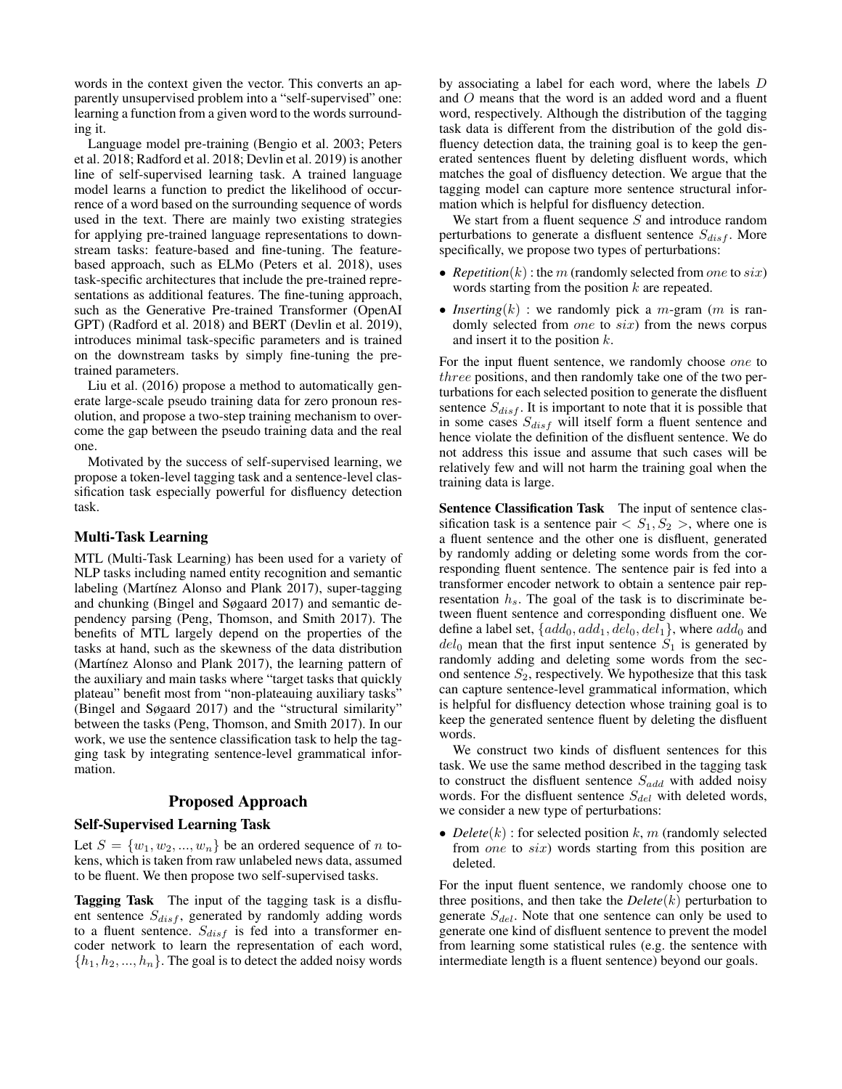words in the context given the vector. This converts an apparently unsupervised problem into a "self-supervised" one: learning a function from a given word to the words surrounding it.

Language model pre-training (Bengio et al. 2003; Peters et al. 2018; Radford et al. 2018; Devlin et al. 2019) is another line of self-supervised learning task. A trained language model learns a function to predict the likelihood of occurrence of a word based on the surrounding sequence of words used in the text. There are mainly two existing strategies for applying pre-trained language representations to downstream tasks: feature-based and fine-tuning. The featurebased approach, such as ELMo (Peters et al. 2018), uses task-specific architectures that include the pre-trained representations as additional features. The fine-tuning approach, such as the Generative Pre-trained Transformer (OpenAI GPT) (Radford et al. 2018) and BERT (Devlin et al. 2019), introduces minimal task-specific parameters and is trained on the downstream tasks by simply fine-tuning the pretrained parameters.

Liu et al. (2016) propose a method to automatically generate large-scale pseudo training data for zero pronoun resolution, and propose a two-step training mechanism to overcome the gap between the pseudo training data and the real one.

Motivated by the success of self-supervised learning, we propose a token-level tagging task and a sentence-level classification task especially powerful for disfluency detection task.

### Multi-Task Learning

MTL (Multi-Task Learning) has been used for a variety of NLP tasks including named entity recognition and semantic labeling (Martínez Alonso and Plank 2017), super-tagging and chunking (Bingel and Søgaard 2017) and semantic dependency parsing (Peng, Thomson, and Smith 2017). The benefits of MTL largely depend on the properties of the tasks at hand, such as the skewness of the data distribution (Martínez Alonso and Plank 2017), the learning pattern of the auxiliary and main tasks where "target tasks that quickly plateau" benefit most from "non-plateauing auxiliary tasks" (Bingel and Søgaard 2017) and the "structural similarity" between the tasks (Peng, Thomson, and Smith 2017). In our work, we use the sentence classification task to help the tagging task by integrating sentence-level grammatical information.

# Proposed Approach

# Self-Supervised Learning Task

Let  $S = \{w_1, w_2, ..., w_n\}$  be an ordered sequence of n tokens, which is taken from raw unlabeled news data, assumed to be fluent. We then propose two self-supervised tasks.

Tagging Task The input of the tagging task is a disfluent sentence  $S_{disf}$ , generated by randomly adding words to a fluent sentence.  $S_{disf}$  is fed into a transformer encoder network to learn the representation of each word,  $\{h_1, h_2, ..., h_n\}$ . The goal is to detect the added noisy words

by associating a label for each word, where the labels D and O means that the word is an added word and a fluent word, respectively. Although the distribution of the tagging task data is different from the distribution of the gold disfluency detection data, the training goal is to keep the generated sentences fluent by deleting disfluent words, which matches the goal of disfluency detection. We argue that the tagging model can capture more sentence structural information which is helpful for disfluency detection.

We start from a fluent sequence  $S$  and introduce random perturbations to generate a disfluent sentence  $S_{disf}$ . More specifically, we propose two types of perturbations:

- *Repetition* $(k)$ : the m (randomly selected from one to six) words starting from the position  $k$  are repeated.
- *Inserting* $(k)$ : we randomly pick a *m*-gram  $(m \text{ is ran-}$ domly selected from one to six) from the news corpus and insert it to the position  $k$ .

For the input fluent sentence, we randomly choose one to three positions, and then randomly take one of the two perturbations for each selected position to generate the disfluent sentence  $S_{disf}$ . It is important to note that it is possible that in some cases  $S_{disf}$  will itself form a fluent sentence and hence violate the definition of the disfluent sentence. We do not address this issue and assume that such cases will be relatively few and will not harm the training goal when the training data is large.

Sentence Classification Task The input of sentence classification task is a sentence pair  $\langle S_1, S_2 \rangle$ , where one is a fluent sentence and the other one is disfluent, generated by randomly adding or deleting some words from the corresponding fluent sentence. The sentence pair is fed into a transformer encoder network to obtain a sentence pair representation  $h_s$ . The goal of the task is to discriminate between fluent sentence and corresponding disfluent one. We define a label set,  $\{add_0, add_1, del_0, del_1\}$ , where  $add_0$  and  $del_0$  mean that the first input sentence  $S_1$  is generated by randomly adding and deleting some words from the second sentence  $S_2$ , respectively. We hypothesize that this task can capture sentence-level grammatical information, which is helpful for disfluency detection whose training goal is to keep the generated sentence fluent by deleting the disfluent words.

We construct two kinds of disfluent sentences for this task. We use the same method described in the tagging task to construct the disfluent sentence  $S_{add}$  with added noisy words. For the disfluent sentence  $S_{del}$  with deleted words, we consider a new type of perturbations:

• *Delete* $(k)$ : for selected position  $k$ , m (randomly selected from *one* to *six*) words starting from this position are deleted.

For the input fluent sentence, we randomly choose one to three positions, and then take the  $Delete(k)$  perturbation to generate  $S_{del}$ . Note that one sentence can only be used to generate one kind of disfluent sentence to prevent the model from learning some statistical rules (e.g. the sentence with intermediate length is a fluent sentence) beyond our goals.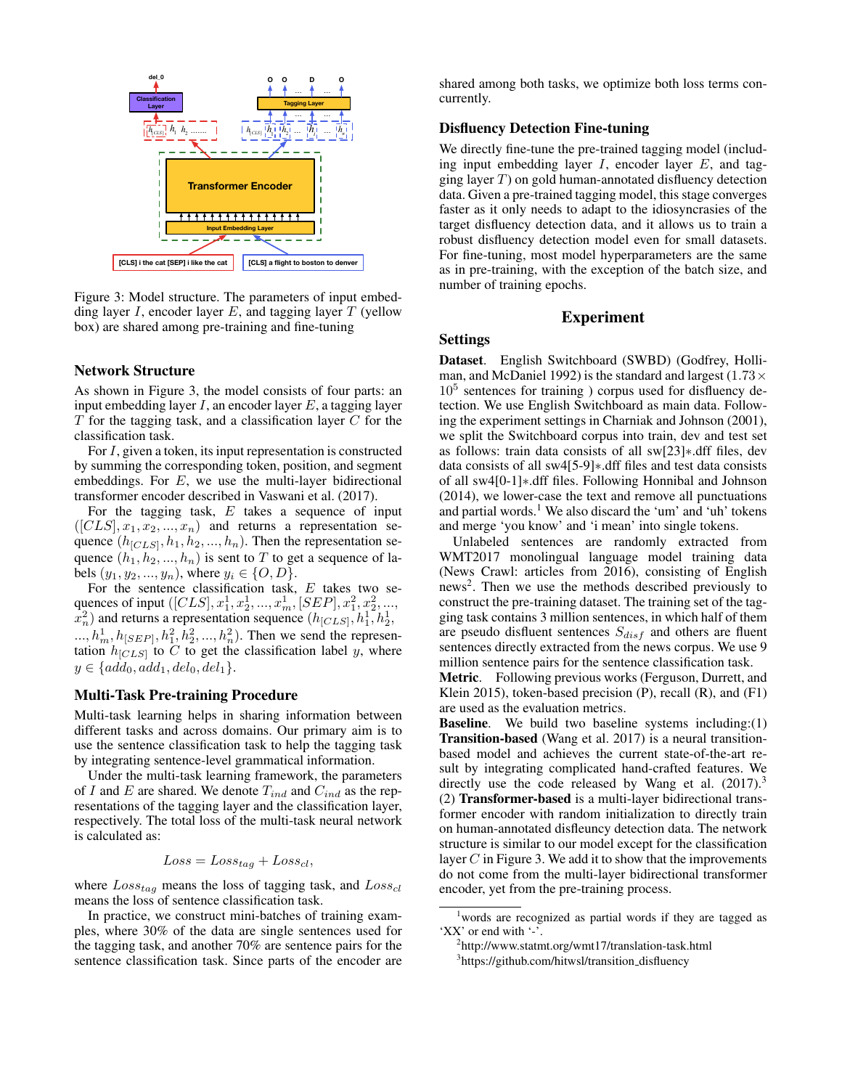

Figure 3: Model structure. The parameters of input embedding layer I, encoder layer E, and tagging layer  $T$  (yellow box) are shared among pre-training and fine-tuning

### Network Structure

As shown in Figure 3, the model consists of four parts: an input embedding layer  $I$ , an encoder layer  $E$ , a tagging layer  $T$  for the tagging task, and a classification layer  $C$  for the classification task.

For I, given a token, its input representation is constructed by summing the corresponding token, position, and segment embeddings. For  $E$ , we use the multi-layer bidirectional transformer encoder described in Vaswani et al. (2017).

For the tagging task,  $E$  takes a sequence of input  $([CLS], x_1, x_2, ..., x_n)$  and returns a representation sequence  $(h_{[CLS]}, h_1, h_2, ..., h_n)$ . Then the representation sequence  $(h_1, h_2, ..., h_n)$  is sent to T to get a sequence of labels  $(y_1, y_2, ..., y_n)$ , where  $y_i \in \{O, D\}$ .

For the sentence classification task, E takes two sequences of input  $([CLS], x_1^1, x_2^1, ..., x_m^1, [SEP], x_1^2, x_2^2, ...,$  $x_n^2$ ) and returns a representation sequence  $(h_{[CLS]}, h_1^1, h_2^1)$  $..., h_m^1, h_{[SEP]}, h_1^2, h_2^2, ..., h_n^2)$ . Then we send the representation  $h_{[CLS]}$  to C to get the classification label y, where  $y \in \{add_0, add_1, del_0, del_1\}.$ 

### Multi-Task Pre-training Procedure

Multi-task learning helps in sharing information between different tasks and across domains. Our primary aim is to use the sentence classification task to help the tagging task by integrating sentence-level grammatical information.

Under the multi-task learning framework, the parameters of I and E are shared. We denote  $T_{ind}$  and  $C_{ind}$  as the representations of the tagging layer and the classification layer, respectively. The total loss of the multi-task neural network is calculated as:

$$
Loss = Loss_{tag} + Loss_{cl},
$$

where  $Loss_{tag}$  means the loss of tagging task, and  $Loss_{cl}$ means the loss of sentence classification task.

In practice, we construct mini-batches of training examples, where 30% of the data are single sentences used for the tagging task, and another 70% are sentence pairs for the sentence classification task. Since parts of the encoder are

shared among both tasks, we optimize both loss terms concurrently.

# Disfluency Detection Fine-tuning

We directly fine-tune the pre-trained tagging model (including input embedding layer  $I$ , encoder layer  $E$ , and tagging layer  $T$ ) on gold human-annotated disfluency detection data. Given a pre-trained tagging model, this stage converges faster as it only needs to adapt to the idiosyncrasies of the target disfluency detection data, and it allows us to train a robust disfluency detection model even for small datasets. For fine-tuning, most model hyperparameters are the same as in pre-training, with the exception of the batch size, and number of training epochs.

# Experiment

# Settings

Dataset. English Switchboard (SWBD) (Godfrey, Holliman, and McDaniel 1992) is the standard and largest (1.73 $\times$ 10<sup>5</sup> sentences for training ) corpus used for disfluency detection. We use English Switchboard as main data. Following the experiment settings in Charniak and Johnson (2001), we split the Switchboard corpus into train, dev and test set as follows: train data consists of all sw[23]∗.dff files, dev data consists of all sw4[5-9]∗.dff files and test data consists of all sw4[0-1]∗.dff files. Following Honnibal and Johnson (2014), we lower-case the text and remove all punctuations and partial words.<sup>1</sup> We also discard the 'um' and 'uh' tokens and merge 'you know' and 'i mean' into single tokens.

Unlabeled sentences are randomly extracted from WMT2017 monolingual language model training data (News Crawl: articles from 2016), consisting of English news<sup>2</sup>. Then we use the methods described previously to construct the pre-training dataset. The training set of the tagging task contains 3 million sentences, in which half of them are pseudo disfluent sentences  $S_{disf}$  and others are fluent sentences directly extracted from the news corpus. We use 9 million sentence pairs for the sentence classification task.

Metric. Following previous works (Ferguson, Durrett, and Klein 2015), token-based precision (P), recall (R), and (F1) are used as the evaluation metrics.

Baseline. We build two baseline systems including:(1) Transition-based (Wang et al. 2017) is a neural transitionbased model and achieves the current state-of-the-art result by integrating complicated hand-crafted features. We directly use the code released by Wang et al.  $(2017).<sup>3</sup>$ (2) Transformer-based is a multi-layer bidirectional transformer encoder with random initialization to directly train on human-annotated disfleuncy detection data. The network structure is similar to our model except for the classification layer  $C$  in Figure 3. We add it to show that the improvements do not come from the multi-layer bidirectional transformer encoder, yet from the pre-training process.

<sup>1</sup>words are recognized as partial words if they are tagged as 'XX' or end with '-'.

<sup>2</sup> http://www.statmt.org/wmt17/translation-task.html

<sup>&</sup>lt;sup>3</sup>https://github.com/hitwsl/transition\_disfluency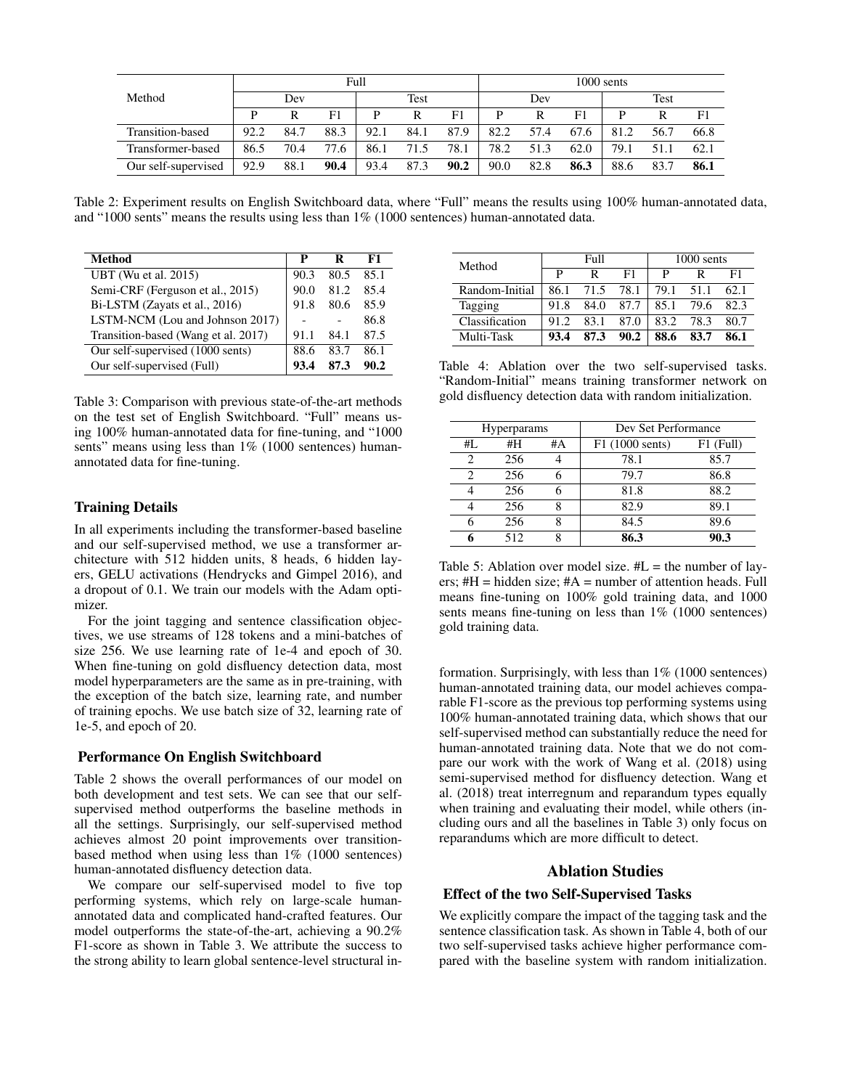|                     | Full |      |      |      |      | $1000$ sents |      |      |      |      |      |      |
|---------------------|------|------|------|------|------|--------------|------|------|------|------|------|------|
| Method              |      | Dev  |      |      | Test |              |      | Dev  |      |      | Test |      |
|                     | D    | R    | F1   | р    | R    | F1           |      | R    | F1   |      |      | F1   |
| Transition-based    | 92.2 | 84.7 | 88.3 | 92.1 | 84.1 | 87.9         | 82.2 | 57.4 | 67.6 | 81.2 | 56.7 | 66.8 |
| Transformer-based   | 86.5 | 70.4 | 77.6 | 86.1 | 71.5 | 78.1         | 78.2 | 51.3 | 62.0 | 79.1 | 51.1 | 62.1 |
| Our self-supervised | 92.9 | 88.1 | 90.4 | 93.4 | 87.3 | 90.2         | 90.0 | 82.8 | 86.3 | 88.6 | 83.7 | 86.1 |

Table 2: Experiment results on English Switchboard data, where "Full" means the results using 100% human-annotated data, and "1000 sents" means the results using less than 1% (1000 sentences) human-annotated data.

| <b>Method</b>                       | р    | R    | F1   |
|-------------------------------------|------|------|------|
| <b>UBT</b> (Wu et al. 2015)         | 90.3 | 80.5 | 85.1 |
| Semi-CRF (Ferguson et al., 2015)    | 90.0 | 81.2 | 85.4 |
| Bi-LSTM (Zayats et al., 2016)       | 91.8 | 80.6 | 85.9 |
| LSTM-NCM (Lou and Johnson 2017)     |      |      | 86.8 |
| Transition-based (Wang et al. 2017) | 91.1 | 84.1 | 87.5 |
| Our self-supervised (1000 sents)    | 88.6 | 83.7 | 86.1 |
| Our self-supervised (Full)          |      | 87 3 | 90.2 |

Table 3: Comparison with previous state-of-the-art methods on the test set of English Switchboard. "Full" means using 100% human-annotated data for fine-tuning, and "1000 sents" means using less than  $1\%$  (1000 sentences) humanannotated data for fine-tuning.

# Training Details

In all experiments including the transformer-based baseline and our self-supervised method, we use a transformer architecture with 512 hidden units, 8 heads, 6 hidden layers, GELU activations (Hendrycks and Gimpel 2016), and a dropout of 0.1. We train our models with the Adam optimizer.

For the joint tagging and sentence classification objectives, we use streams of 128 tokens and a mini-batches of size 256. We use learning rate of 1e-4 and epoch of 30. When fine-tuning on gold disfluency detection data, most model hyperparameters are the same as in pre-training, with the exception of the batch size, learning rate, and number of training epochs. We use batch size of 32, learning rate of 1e-5, and epoch of 20.

#### Performance On English Switchboard

Table 2 shows the overall performances of our model on both development and test sets. We can see that our selfsupervised method outperforms the baseline methods in all the settings. Surprisingly, our self-supervised method achieves almost 20 point improvements over transitionbased method when using less than 1% (1000 sentences) human-annotated disfluency detection data.

We compare our self-supervised model to five top performing systems, which rely on large-scale humanannotated data and complicated hand-crafted features. Our model outperforms the state-of-the-art, achieving a 90.2% F1-score as shown in Table 3. We attribute the success to the strong ability to learn global sentence-level structural in-

| Method         |      | Full |      | 1000 sents |      |      |
|----------------|------|------|------|------------|------|------|
|                | P    | R    | F1   | P          |      | F1   |
| Random-Initial | 86.1 | 71.5 | 78.1 | 79.1       | 51.1 | 62.1 |
| Tagging        | 91.8 | 84.0 | 87.7 | 85.1       | 79.6 | 82.3 |
| Classification | 912  | 83 1 | 87.0 | 83.2       | 78.3 | 80.7 |
| Multi-Task     | 93.4 | 87.3 | 90.2 | 88.6       | 83.7 | 86.1 |

Table 4: Ablation over the two self-supervised tasks. "Random-Initial" means training transformer network on gold disfluency detection data with random initialization.

| <b>Hyperparams</b> |     |    | Dev Set Performance      |           |
|--------------------|-----|----|--------------------------|-----------|
| #L                 | #H  | #A | $F1(1000 \text{ sents})$ | F1 (Full) |
|                    | 256 |    | 78.1                     | 85.7      |
| 2                  | 256 |    | 79.7                     | 86.8      |
|                    | 256 |    | 81.8                     | 88.2      |
|                    | 256 | 8  | 82.9                     | 89.1      |
|                    | 256 | 8  | 84.5                     | 89.6      |
|                    | 512 | 8  | 86.3                     | 90.3      |

Table 5: Ablation over model size.  $#L =$  the number of layers;  $#H = hidden size$ ;  $#A = number of attention heads$ . Full means fine-tuning on 100% gold training data, and 1000 sents means fine-tuning on less than  $1\%$  (1000 sentences) gold training data.

formation. Surprisingly, with less than  $1\%$  (1000 sentences) human-annotated training data, our model achieves comparable F1-score as the previous top performing systems using 100% human-annotated training data, which shows that our self-supervised method can substantially reduce the need for human-annotated training data. Note that we do not compare our work with the work of Wang et al. (2018) using semi-supervised method for disfluency detection. Wang et al. (2018) treat interregnum and reparandum types equally when training and evaluating their model, while others (including ours and all the baselines in Table 3) only focus on reparandums which are more difficult to detect.

## Ablation Studies

# Effect of the two Self-Supervised Tasks

We explicitly compare the impact of the tagging task and the sentence classification task. As shown in Table 4, both of our two self-supervised tasks achieve higher performance compared with the baseline system with random initialization.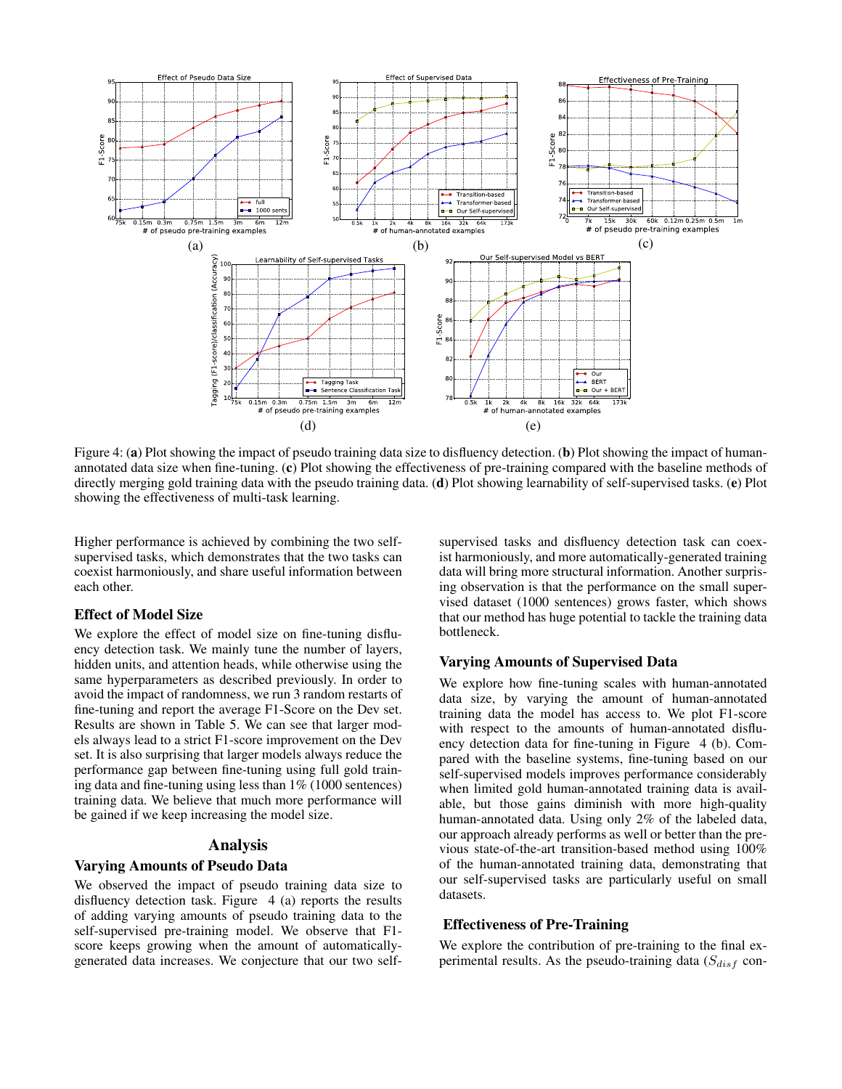

Figure 4: (a) Plot showing the impact of pseudo training data size to disfluency detection. (b) Plot showing the impact of humanannotated data size when fine-tuning. (c) Plot showing the effectiveness of pre-training compared with the baseline methods of directly merging gold training data with the pseudo training data. (d) Plot showing learnability of self-supervised tasks. (e) Plot showing the effectiveness of multi-task learning.

Higher performance is achieved by combining the two selfsupervised tasks, which demonstrates that the two tasks can coexist harmoniously, and share useful information between each other.

### Effect of Model Size

We explore the effect of model size on fine-tuning disfluency detection task. We mainly tune the number of layers, hidden units, and attention heads, while otherwise using the same hyperparameters as described previously. In order to avoid the impact of randomness, we run 3 random restarts of fine-tuning and report the average F1-Score on the Dev set. Results are shown in Table 5. We can see that larger models always lead to a strict F1-score improvement on the Dev set. It is also surprising that larger models always reduce the performance gap between fine-tuning using full gold training data and fine-tuning using less than 1% (1000 sentences) training data. We believe that much more performance will be gained if we keep increasing the model size.

# Analysis

## Varying Amounts of Pseudo Data

We observed the impact of pseudo training data size to disfluency detection task. Figure 4 (a) reports the results of adding varying amounts of pseudo training data to the self-supervised pre-training model. We observe that F1 score keeps growing when the amount of automaticallygenerated data increases. We conjecture that our two self-

supervised tasks and disfluency detection task can coexist harmoniously, and more automatically-generated training data will bring more structural information. Another surprising observation is that the performance on the small supervised dataset (1000 sentences) grows faster, which shows that our method has huge potential to tackle the training data bottleneck.

## Varying Amounts of Supervised Data

We explore how fine-tuning scales with human-annotated data size, by varying the amount of human-annotated training data the model has access to. We plot F1-score with respect to the amounts of human-annotated disfluency detection data for fine-tuning in Figure 4 (b). Compared with the baseline systems, fine-tuning based on our self-supervised models improves performance considerably when limited gold human-annotated training data is available, but those gains diminish with more high-quality human-annotated data. Using only 2% of the labeled data, our approach already performs as well or better than the previous state-of-the-art transition-based method using 100% of the human-annotated training data, demonstrating that our self-supervised tasks are particularly useful on small datasets.

# Effectiveness of Pre-Training

We explore the contribution of pre-training to the final experimental results. As the pseudo-training data  $(S_{disf}$  con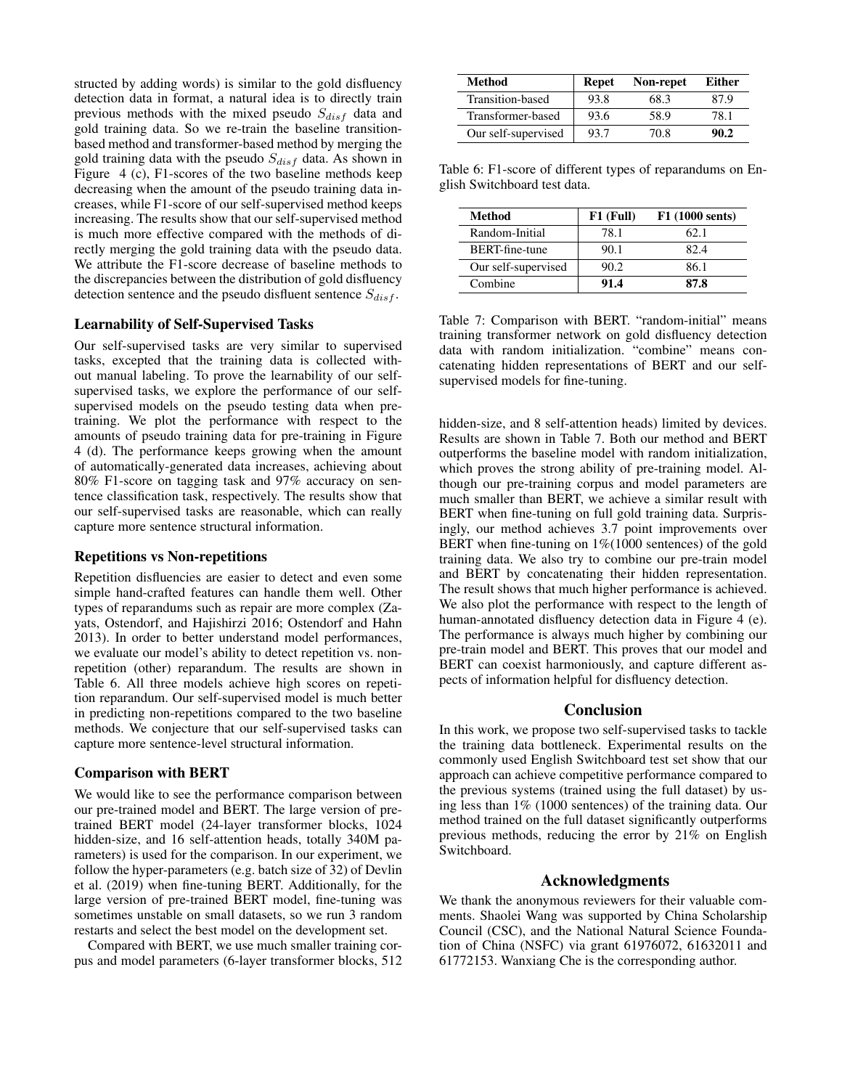structed by adding words) is similar to the gold disfluency detection data in format, a natural idea is to directly train previous methods with the mixed pseudo  $S_{disf}$  data and gold training data. So we re-train the baseline transitionbased method and transformer-based method by merging the gold training data with the pseudo  $S_{disf}$  data. As shown in Figure 4 (c), F1-scores of the two baseline methods keep decreasing when the amount of the pseudo training data increases, while F1-score of our self-supervised method keeps increasing. The results show that our self-supervised method is much more effective compared with the methods of directly merging the gold training data with the pseudo data. We attribute the F1-score decrease of baseline methods to the discrepancies between the distribution of gold disfluency detection sentence and the pseudo disfluent sentence  $S_{disf}$ .

# Learnability of Self-Supervised Tasks

Our self-supervised tasks are very similar to supervised tasks, excepted that the training data is collected without manual labeling. To prove the learnability of our selfsupervised tasks, we explore the performance of our selfsupervised models on the pseudo testing data when pretraining. We plot the performance with respect to the amounts of pseudo training data for pre-training in Figure 4 (d). The performance keeps growing when the amount of automatically-generated data increases, achieving about 80% F1-score on tagging task and 97% accuracy on sentence classification task, respectively. The results show that our self-supervised tasks are reasonable, which can really capture more sentence structural information.

#### Repetitions vs Non-repetitions

Repetition disfluencies are easier to detect and even some simple hand-crafted features can handle them well. Other types of reparandums such as repair are more complex (Zayats, Ostendorf, and Hajishirzi 2016; Ostendorf and Hahn 2013). In order to better understand model performances, we evaluate our model's ability to detect repetition vs. nonrepetition (other) reparandum. The results are shown in Table 6. All three models achieve high scores on repetition reparandum. Our self-supervised model is much better in predicting non-repetitions compared to the two baseline methods. We conjecture that our self-supervised tasks can capture more sentence-level structural information.

#### Comparison with BERT

We would like to see the performance comparison between our pre-trained model and BERT. The large version of pretrained BERT model (24-layer transformer blocks, 1024 hidden-size, and 16 self-attention heads, totally 340M parameters) is used for the comparison. In our experiment, we follow the hyper-parameters (e.g. batch size of 32) of Devlin et al. (2019) when fine-tuning BERT. Additionally, for the large version of pre-trained BERT model, fine-tuning was sometimes unstable on small datasets, so we run 3 random restarts and select the best model on the development set.

Compared with BERT, we use much smaller training corpus and model parameters (6-layer transformer blocks, 512

| Method              | <b>Repet</b> | Non-repet | Either |
|---------------------|--------------|-----------|--------|
| Transition-based    | 93.8         | 68.3      | 87 9   |
| Transformer-based   | 93.6         | 58.9      | 78.1   |
| Our self-supervised | 93.7         | 70.8      | 90.2   |

Table 6: F1-score of different types of reparandums on English Switchboard test data.

| Method              | $F1$ (Full) | F1 (1000 sents) |
|---------------------|-------------|-----------------|
| Random-Initial      | 78.1        | 62.1            |
| BERT-fine-tune      | 90.1        | 82.4            |
| Our self-supervised | 90.2        | 86.1            |
| Combine             | 91.4        | 87.8            |

Table 7: Comparison with BERT. "random-initial" means training transformer network on gold disfluency detection data with random initialization. "combine" means concatenating hidden representations of BERT and our selfsupervised models for fine-tuning.

hidden-size, and 8 self-attention heads) limited by devices. Results are shown in Table 7. Both our method and BERT outperforms the baseline model with random initialization, which proves the strong ability of pre-training model. Although our pre-training corpus and model parameters are much smaller than BERT, we achieve a similar result with BERT when fine-tuning on full gold training data. Surprisingly, our method achieves 3.7 point improvements over BERT when fine-tuning on  $1\%/1000$  sentences) of the gold training data. We also try to combine our pre-train model and BERT by concatenating their hidden representation. The result shows that much higher performance is achieved. We also plot the performance with respect to the length of human-annotated disfluency detection data in Figure 4 (e). The performance is always much higher by combining our pre-train model and BERT. This proves that our model and BERT can coexist harmoniously, and capture different aspects of information helpful for disfluency detection.

### **Conclusion**

In this work, we propose two self-supervised tasks to tackle the training data bottleneck. Experimental results on the commonly used English Switchboard test set show that our approach can achieve competitive performance compared to the previous systems (trained using the full dataset) by using less than 1% (1000 sentences) of the training data. Our method trained on the full dataset significantly outperforms previous methods, reducing the error by 21% on English Switchboard.

# Acknowledgments

We thank the anonymous reviewers for their valuable comments. Shaolei Wang was supported by China Scholarship Council (CSC), and the National Natural Science Foundation of China (NSFC) via grant 61976072, 61632011 and 61772153. Wanxiang Che is the corresponding author.